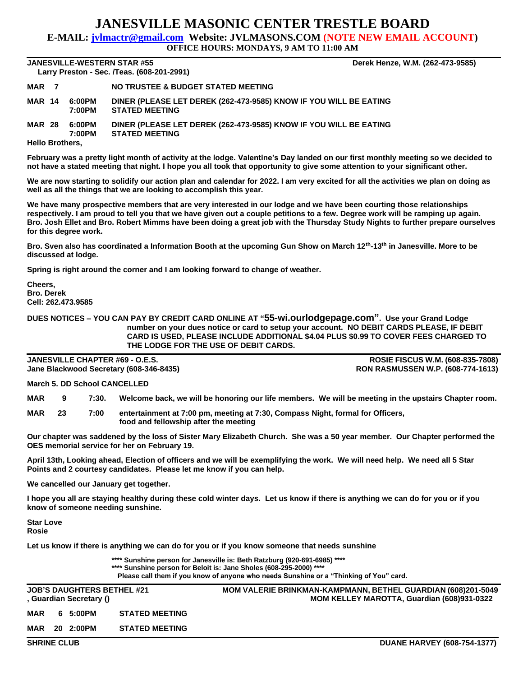## **JANESVILLE MASONIC CENTER TRESTLE BOARD**

**E-MAIL: jvlmactr@gmail.com Website: JVLMASONS.COM (NOTE NEW EMAIL ACCOUNT)**

**OFFICE HOURS: MONDAYS, 9 AM TO 11:00 AM**

**JANESVILLE-WESTERN STAR #55 Derek Henze, W.M. (262-473-9585) Larry Preston - Sec. /Teas. (608-201-2991)** 

| MAR <sub>7</sub>       |  |                  | NO TRUSTEE & BUDGET STATED MEETING                                                         |  |  |  |  |  |
|------------------------|--|------------------|--------------------------------------------------------------------------------------------|--|--|--|--|--|
| <b>MAR 14</b>          |  | 6:00PM<br>7:00PM | DINER (PLEASE LET DEREK (262-473-9585) KNOW IF YOU WILL BE EATING<br><b>STATED MEETING</b> |  |  |  |  |  |
| <b>MAR 28</b>          |  | 6:00PM<br>7:00PM | DINER (PLEASE LET DEREK (262-473-9585) KNOW IF YOU WILL BE EATING<br><b>STATED MEETING</b> |  |  |  |  |  |
| <b>Hello Brothers,</b> |  |                  |                                                                                            |  |  |  |  |  |

**February was a pretty light month of activity at the lodge. Valentine's Day landed on our first monthly meeting so we decided to not have a stated meeting that night. I hope you all took that opportunity to give some attention to your significant other.**

**We are now starting to solidify our action plan and calendar for 2022. I am very excited for all the activities we plan on doing as well as all the things that we are looking to accomplish this year.**

**We have many prospective members that are very interested in our lodge and we have been courting those relationships respectively. I am proud to tell you that we have given out a couple petitions to a few. Degree work will be ramping up again. Bro. Josh Ellet and Bro. Robert Mimms have been doing a great job with the Thursday Study Nights to further prepare ourselves for this degree work.**

**Bro. Sven also has coordinated a Information Booth at the upcoming Gun Show on March 12th-13th in Janesville. More to be discussed at lodge.**

**Spring is right around the corner and I am looking forward to change of weather.**

**Cheers, Bro. Derek Cell: 262.473.9585**

**DUES NOTICES – YOU CAN PAY BY CREDIT CARD ONLINE AT "55-wi.ourlodgepage.com". Use your Grand Lodge number on your dues notice or card to setup your account. NO DEBIT CARDS PLEASE, IF DEBIT CARD IS USED, PLEASE INCLUDE ADDITIONAL \$4.04 PLUS \$0.99 TO COVER FEES CHARGED TO THE LODGE FOR THE USE OF DEBIT CARDS.**

**JANESVILLE CHAPTER #69 - O.E.S. ROSIE FISCUS W.M. (608-835-7808) Jane Blackwood Secretary (608-346-8435) RON RASMUSSEN W.P. (608-774-1613)**

**March 5. DD School CANCELLED**

**MAR 9 7:30. Welcome back, we will be honoring our life members. We will be meeting in the upstairs Chapter room.**

**MAR 23 7:00 entertainment at 7:00 pm, meeting at 7:30, Compass Night, formal for Officers, food and fellowship after the meeting**

**Our chapter was saddened by the loss of Sister Mary Elizabeth Church. She was a 50 year member. Our Chapter performed the OES memorial service for her on February 19.**

**April 13th, Looking ahead, Election of officers and we will be exemplifying the work. We will need help. We need all 5 Star Points and 2 courtesy candidates. Please let me know if you can help.**

**We cancelled our January get together.**

**I hope you all are staying healthy during these cold winter days. Let us know if there is anything we can do for you or if you know of someone needing sunshine.**

**Star Love Rosie**

**Let us know if there is anything we can do for you or if you know someone that needs sunshine**

**\*\*\*\* Sunshine person for Janesville is: Beth Ratzburg (920-691-6985) \*\*\*\* \*\*\*\* Sunshine person for Beloit is: Jane Sholes (608-295-2000) \*\*\*\* Please call them if you know of anyone who needs Sunshine or a "Thinking of You" card.**

|                    |  | , Guardian Secretary () | <b>JOB'S DAUGHTERS BETHEL #21</b> | <b>MOM VALERIE BRINKMAN-KAMPMANN, BETHEL GUARDIAN (608)201-5049</b><br>MOM KELLEY MAROTTA, Guardian (608)931-0322 |
|--------------------|--|-------------------------|-----------------------------------|-------------------------------------------------------------------------------------------------------------------|
| MAR                |  | 6 5:00PM                | <b>STATED MEETING</b>             |                                                                                                                   |
| MAR                |  | 20 2:00PM               | <b>STATED MEETING</b>             |                                                                                                                   |
| <b>SHRINE CLUB</b> |  |                         |                                   | <b>DUANE HARVEY (608-754-1377)</b>                                                                                |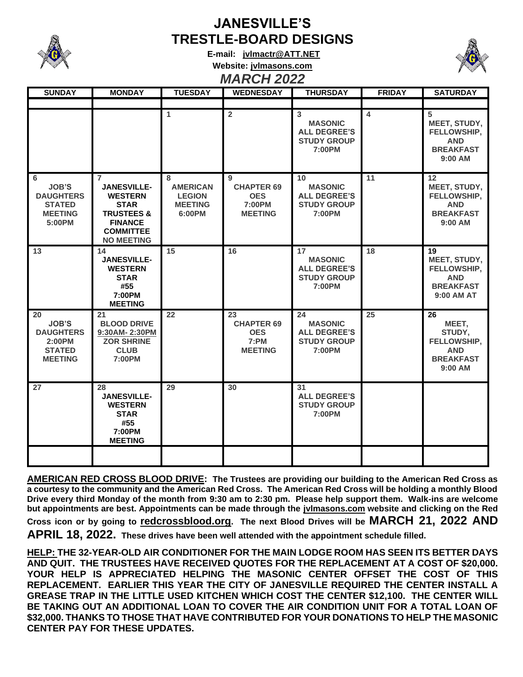

## **JANESVILLE'S TRESTLE-BOARD DESIGNS**

**E-mail: [jvlmactr@ATT.NET](mailto:jvlmactr@ATT.NET)**



## **Website: jvlmasons.com** *MARCH 2022*

| <b>SUNDAY</b>                                                                       | <b>MONDAY</b>                                                                                                                                             | <b>TUESDAY</b>                                                    | <b>WEDNESDAY</b>                                                 | <b>THURSDAY</b>                                                                          | <b>FRIDAY</b> | <b>SATURDAY</b>                                                                   |
|-------------------------------------------------------------------------------------|-----------------------------------------------------------------------------------------------------------------------------------------------------------|-------------------------------------------------------------------|------------------------------------------------------------------|------------------------------------------------------------------------------------------|---------------|-----------------------------------------------------------------------------------|
|                                                                                     |                                                                                                                                                           |                                                                   |                                                                  |                                                                                          |               |                                                                                   |
|                                                                                     |                                                                                                                                                           | 1                                                                 | $\overline{2}$                                                   | 3<br><b>MASONIC</b><br><b>ALL DEGREE'S</b><br><b>STUDY GROUP</b><br>7:00PM               | 4             | 5<br>MEET, STUDY,<br>FELLOWSHIP,<br><b>AND</b><br><b>BREAKFAST</b><br>$9:00$ AM   |
| 6<br><b>JOB'S</b><br><b>DAUGHTERS</b><br><b>STATED</b><br><b>MEETING</b><br>5:00PM  | $\overline{7}$<br><b>JANESVILLE-</b><br><b>WESTERN</b><br><b>STAR</b><br><b>TRUSTEES &amp;</b><br><b>FINANCE</b><br><b>COMMITTEE</b><br><b>NO MEETING</b> | 8<br><b>AMERICAN</b><br><b>LEGION</b><br><b>MEETING</b><br>6:00PM | 9<br><b>CHAPTER 69</b><br><b>OES</b><br>7:00PM<br><b>MEETING</b> | 10 <sup>1</sup><br><b>MASONIC</b><br><b>ALL DEGREE'S</b><br><b>STUDY GROUP</b><br>7:00PM | 11            | 12<br>MEET, STUDY,<br>FELLOWSHIP,<br><b>AND</b><br><b>BREAKFAST</b><br>$9:00$ AM  |
| 13                                                                                  | 14<br><b>JANESVILLE-</b><br><b>WESTERN</b><br><b>STAR</b><br>#55<br>7:00PM<br><b>MEETING</b>                                                              | 15                                                                | 16                                                               | 17<br><b>MASONIC</b><br><b>ALL DEGREE'S</b><br><b>STUDY GROUP</b><br>7:00PM              | 18            | 19<br>MEET, STUDY,<br>FELLOWSHIP,<br><b>AND</b><br><b>BREAKFAST</b><br>9:00 AM AT |
| 20<br><b>JOB'S</b><br><b>DAUGHTERS</b><br>2:00PM<br><b>STATED</b><br><b>MEETING</b> | 21<br><b>BLOOD DRIVE</b><br>9:30AM-2:30PM<br><b>ZOR SHRINE</b><br><b>CLUB</b><br>7:00PM                                                                   | 22                                                                | 23<br><b>CHAPTER 69</b><br><b>OES</b><br>7:PM<br><b>MEETING</b>  | 24<br><b>MASONIC</b><br><b>ALL DEGREE'S</b><br><b>STUDY GROUP</b><br>7:00PM              | 25            | 26<br>MEET,<br>STUDY,<br>FELLOWSHIP,<br><b>AND</b><br><b>BREAKFAST</b><br>9:00 AM |
| 27                                                                                  | 28<br><b>JANESVILLE-</b><br><b>WESTERN</b><br><b>STAR</b><br>#55<br>7:00PM<br><b>MEETING</b>                                                              | 29                                                                | 30                                                               | 31<br><b>ALL DEGREE'S</b><br><b>STUDY GROUP</b><br>7:00PM                                |               |                                                                                   |
|                                                                                     |                                                                                                                                                           |                                                                   |                                                                  |                                                                                          |               |                                                                                   |

**AMERICAN RED CROSS BLOOD DRIVE: The Trustees are providing our building to the American Red Cross as a courtesy to the community and the American Red Cross. The American Red Cross will be holding a monthly Blood Drive every third Monday of the month from 9:30 am to 2:30 pm. Please help support them. Walk-ins are welcome but appointments are best. Appointments can be made through the jvlmasons.com website and clicking on the Red** 

**Cross icon or by going to redcrossblood.org. The next Blood Drives will be MARCH 21, 2022 AND APRIL 18, 2022. These drives have been well attended with the appointment schedule filled.**

**HELP: THE 32-YEAR-OLD AIR CONDITIONER FOR THE MAIN LODGE ROOM HAS SEEN ITS BETTER DAYS AND QUIT. THE TRUSTEES HAVE RECEIVED QUOTES FOR THE REPLACEMENT AT A COST OF \$20,000. YOUR HELP IS APPRECIATED HELPING THE MASONIC CENTER OFFSET THE COST OF THIS REPLACEMENT. EARLIER THIS YEAR THE CITY OF JANESVILLE REQUIRED THE CENTER INSTALL A GREASE TRAP IN THE LITTLE USED KITCHEN WHICH COST THE CENTER \$12,100. THE CENTER WILL**  BE TAKING OUT AN ADDITIONAL LOAN TO COVER THE AIR CONDITION UNIT FOR A TOTAL LOAN OF **\$32,000. THANKS TO THOSE THAT HAVE CONTRIBUTED FOR YOUR DONATIONS TO HELP THE MASONIC CENTER PAY FOR THESE UPDATES.**